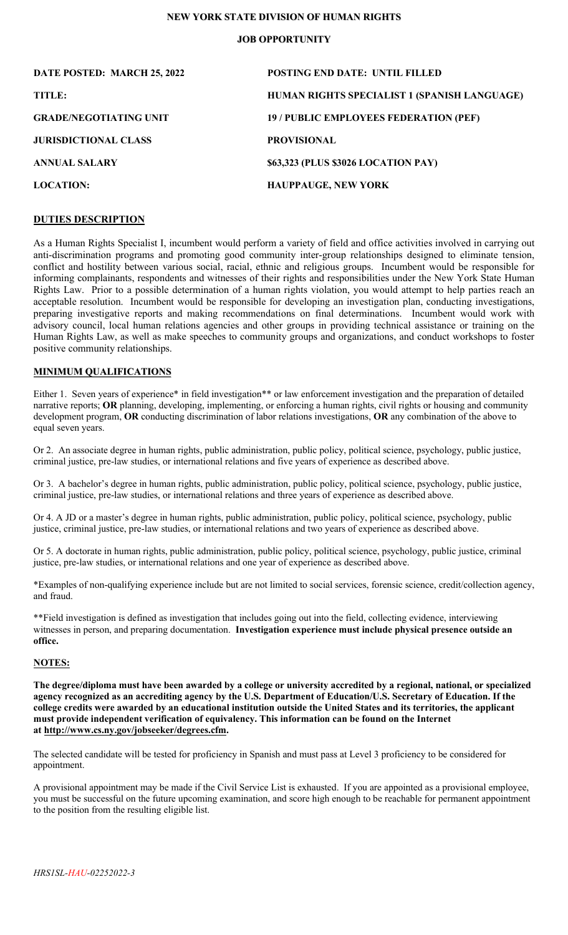# **NEW YORK STATE DIVISION OF HUMAN RIGHTS**

## **JOB OPPORTUNITY**

| DATE POSTED: MARCH 25, 2022   | <b>POSTING END DATE: UNTIL FILLED</b>        |
|-------------------------------|----------------------------------------------|
| TITLE:                        | HUMAN RIGHTS SPECIALIST 1 (SPANISH LANGUAGE) |
| <b>GRADE/NEGOTIATING UNIT</b> | 19 / PUBLIC EMPLOYEES FEDERATION (PEF)       |
| <b>JURISDICTIONAL CLASS</b>   | <b>PROVISIONAL</b>                           |
| <b>ANNUAL SALARY</b>          | \$63,323 (PLUS \$3026 LOCATION PAY)          |
| <b>LOCATION:</b>              | <b>HAUPPAUGE, NEW YORK</b>                   |

# **DUTIES DESCRIPTION**

As a Human Rights Specialist I, incumbent would perform a variety of field and office activities involved in carrying out anti-discrimination programs and promoting good community inter-group relationships designed to eliminate tension, conflict and hostility between various social, racial, ethnic and religious groups. Incumbent would be responsible for informing complainants, respondents and witnesses of their rights and responsibilities under the New York State Human Rights Law. Prior to a possible determination of a human rights violation, you would attempt to help parties reach an acceptable resolution. Incumbent would be responsible for developing an investigation plan, conducting investigations, preparing investigative reports and making recommendations on final determinations. Incumbent would work with advisory council, local human relations agencies and other groups in providing technical assistance or training on the Human Rights Law, as well as make speeches to community groups and organizations, and conduct workshops to foster positive community relationships.

### **MINIMUM QUALIFICATIONS**

Either 1. Seven years of experience\* in field investigation\*\* or law enforcement investigation and the preparation of detailed narrative reports; **OR** planning, developing, implementing, or enforcing a human rights, civil rights or housing and community development program, **OR** conducting discrimination of labor relations investigations, **OR** any combination of the above to equal seven years.

Or 2. An associate degree in human rights, public administration, public policy, political science, psychology, public justice, criminal justice, pre-law studies, or international relations and five years of experience as described above.

Or 3. A bachelor's degree in human rights, public administration, public policy, political science, psychology, public justice, criminal justice, pre-law studies, or international relations and three years of experience as described above.

Or 4. A JD or a master's degree in human rights, public administration, public policy, political science, psychology, public justice, criminal justice, pre-law studies, or international relations and two years of experience as described above.

Or 5. A doctorate in human rights, public administration, public policy, political science, psychology, public justice, criminal justice, pre-law studies, or international relations and one year of experience as described above.

\*Examples of non-qualifying experience include but are not limited to social services, forensic science, credit/collection agency, and fraud.

\*\*Field investigation is defined as investigation that includes going out into the field, collecting evidence, interviewing witnesses in person, and preparing documentation. **Investigation experience must include physical presence outside an office.**

#### **NOTES:**

**The degree/diploma must have been awarded by a college or university accredited by a regional, national, or specialized agency recognized as an accrediting agency by the U.S. Department of Education/U.S. Secretary of Education. If the college credits were awarded by an educational institution outside the United States and its territories, the applicant must provide independent verification of equivalency. This information can be found on the Internet at [http://www.cs.ny.gov/jobseeker/degrees.cfm.](http://www.cs.ny.gov/jobseeker/degrees.cfm)**

The selected candidate will be tested for proficiency in Spanish and must pass at Level 3 proficiency to be considered for appointment.

A provisional appointment may be made if the Civil Service List is exhausted. If you are appointed as a provisional employee, you must be successful on the future upcoming examination, and score high enough to be reachable for permanent appointment to the position from the resulting eligible list.